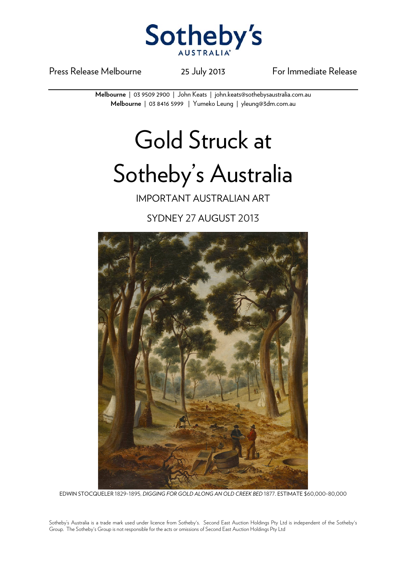

Press Release Melbourne 25 July 2013 For Immediate Release

**Melbourne** | 03 9509 2900 | John Keats | john.keats@sothebysaustralia.com.au **Melbourne** | 03 8416 5999 | Yumeko Leung | yleung@3dm.com.au

## Gold Struck at

## Sotheby's Australia

IMPORTANT AUSTRALIAN ART

SYDNEY 27 AUGUST 2013



EDWIN STOCQUELER 1829-1895, *DIGGING FOR GOLD ALONG AN OLD CREEK BED* 1877. ESTIMATE \$60,000-80,000

Sotheby's Australia is a trade mark used under licence from Sotheby's. Second East Auction Holdings Pty Ltd is independent of the Sotheby's Group. The Sotheby's Group is not responsible for the acts or omissions of Second East Auction Holdings Pty Ltd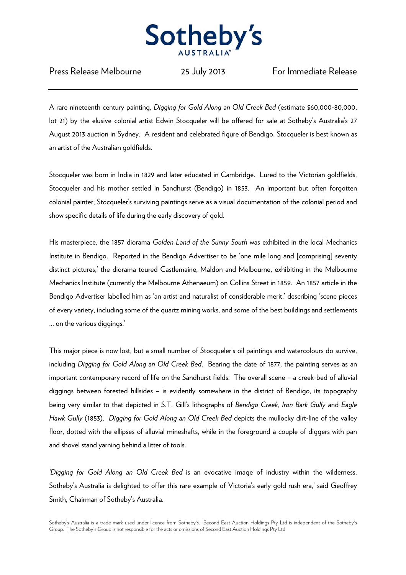

Press Release Melbourne 25 July 2013 For Immediate Release

A rare nineteenth century painting, *Digging for Gold Along an Old Creek Bed* (estimate \$60,000-80,000, lot 21) by the elusive colonial artist Edwin Stocqueler will be offered for sale at Sotheby's Australia's 27 August 2013 auction in Sydney. A resident and celebrated figure of Bendigo, Stocqueler is best known as an artist of the Australian goldfields.

Stocqueler was born in India in 1829 and later educated in Cambridge. Lured to the Victorian goldfields, Stocqueler and his mother settled in Sandhurst (Bendigo) in 1853. An important but often forgotten colonial painter, Stocqueler's surviving paintings serve as a visual documentation of the colonial period and show specific details of life during the early discovery of gold.

His masterpiece, the 1857 diorama *Golden Land of the Sunny South* was exhibited in the local Mechanics Institute in Bendigo. Reported in the Bendigo Advertiser to be 'one mile long and [comprising] seventy distinct pictures,' the diorama toured Castlemaine, Maldon and Melbourne, exhibiting in the Melbourne Mechanics Institute (currently the Melbourne Athenaeum) on Collins Street in 1859. An 1857 article in the Bendigo Advertiser labelled him as 'an artist and naturalist of considerable merit,' describing 'scene pieces of every variety, including some of the quartz mining works, and some of the best buildings and settlements ... on the various diggings.'

This major piece is now lost, but a small number of Stocqueler's oil paintings and watercolours do survive, including *Digging for Gold Along an Old Creek Bed*. Bearing the date of 1877, the painting serves as an important contemporary record of life on the Sandhurst fields. The overall scene – a creek-bed of alluvial diggings between forested hillsides – is evidently somewhere in the district of Bendigo, its topography being very similar to that depicted in S.T. Gill's lithographs of *Bendigo Creek, Iron Bark Gully* and *Eagle Hawk Gully* (1853). *Digging for Gold Along an Old Creek Bed* depicts the mullocky dirt-line of the valley floor, dotted with the ellipses of alluvial mineshafts, while in the foreground a couple of diggers with pan and shovel stand yarning behind a litter of tools.

*'Digging for Gold Along an Old Creek Bed* is an evocative image of industry within the wilderness. Sotheby's Australia is delighted to offer this rare example of Victoria's early gold rush era,' said Geoffrey Smith, Chairman of Sotheby's Australia.

Sotheby's Australia is a trade mark used under licence from Sotheby's. Second East Auction Holdings Pty Ltd is independent of the Sotheby's Group. The Sotheby's Group is not responsible for the acts or omissions of Second East Auction Holdings Pty Ltd